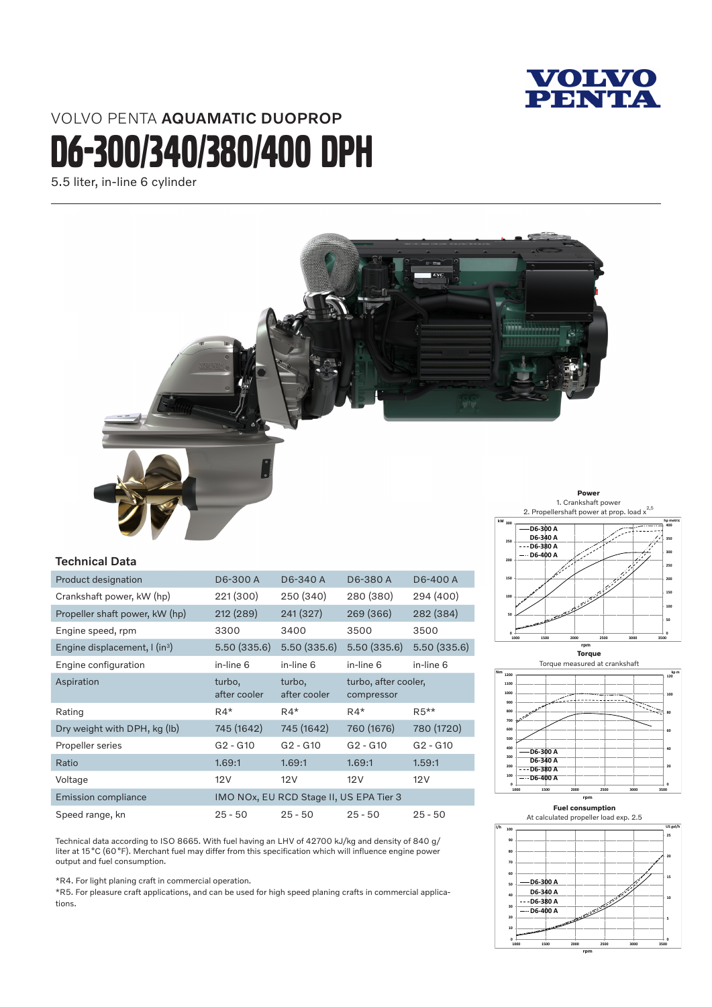

## D6-300/340/380/400 DPH VOLVO PENTA AQUAMATIC DUOPROP

5.5 liter, in-line 6 cylinder



#### Technical Data

| Product designation                            | D6-300 A                                | D6-340 A               | D6-380 A                           | D6-400 A    |
|------------------------------------------------|-----------------------------------------|------------------------|------------------------------------|-------------|
| Crankshaft power, kW (hp)                      | 221 (300)                               | 250 (340)              | 280 (380)                          | 294 (400)   |
| Propeller shaft power, kW (hp)                 | 212 (289)                               | 241 (327)              | 269 (366)                          | 282 (384)   |
| Engine speed, rpm                              | 3300                                    | 3400                   | 3500                               | 3500        |
| Engine displacement, $\int$ (in <sup>3</sup> ) | 5.50 (335.6)                            | 5.50(335.6)            | 5.50(335.6)                        | 5.50(335.6) |
| Engine configuration                           | in-line 6                               | in-line 6              | in-line 6                          | in-line 6   |
| Aspiration                                     | turbo,<br>after cooler                  | turbo,<br>after cooler | turbo, after cooler,<br>compressor |             |
| Rating                                         | $R4*$                                   | $R4*$                  | $R4*$                              | $R5**$      |
| Dry weight with DPH, kg (lb)                   | 745 (1642)                              | 745 (1642)             | 760 (1676)                         | 780 (1720)  |
| Propeller series                               | $G2 - G10$                              | $G2 - G10$             | $G2 - G10$                         | $G2 - G10$  |
| Ratio                                          | 1.69:1                                  | 1.69:1                 | 1.69:1                             | 1.59:1      |
| Voltage                                        | 12V                                     | 12V                    | 12V                                | 12V         |
| <b>Emission compliance</b>                     | IMO NOx, EU RCD Stage II, US EPA Tier 3 |                        |                                    |             |
| Speed range, kn                                | $25 - 50$                               | $25 - 50$              | $25 - 50$                          | $25 - 50$   |

Technical data according to ISO 8665. With fuel having an LHV of 42700 kJ/kg and density of 840 g/ liter at 15°C (60°F). Merchant fuel may differ from this specification which will influence engine power output and fuel consumption.

\*R4. For light planing craft in commercial operation.

\*R5. For pleasure craft applications, and can be used for high speed planing crafts in commercial applications.